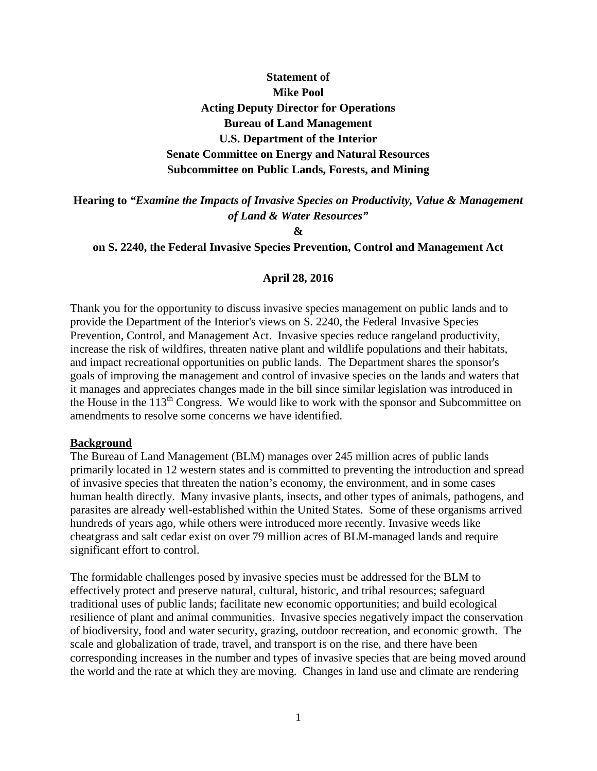# **Statement of Mike Pool Acting Deputy Director for Operations Bureau of Land Management U.S. Department of the Interior Senate Committee on Energy and Natural Resources Subcommittee on Public Lands, Forests, and Mining**

**Hearing to** *"Examine the Impacts of Invasive Species on Productivity, Value & Management of Land & Water Resources"*

**&**

#### **on S. 2240, the Federal Invasive Species Prevention, Control and Management Act**

#### **April 28, 2016**

Thank you for the opportunity to discuss invasive species management on public lands and to provide the Department of the Interior's views on S. 2240, the Federal Invasive Species Prevention, Control, and Management Act. Invasive species reduce rangeland productivity, increase the risk of wildfires, threaten native plant and wildlife populations and their habitats, and impact recreational opportunities on public lands. The Department shares the sponsor's goals of improving the management and control of invasive species on the lands and waters that it manages and appreciates changes made in the bill since similar legislation was introduced in the House in the 113th Congress. We would like to work with the sponsor and Subcommittee on amendments to resolve some concerns we have identified.

#### **Background**

The Bureau of Land Management (BLM) manages over 245 million acres of public lands primarily located in 12 western states and is committed to preventing the introduction and spread of invasive species that threaten the nation's economy, the environment, and in some cases human health directly. Many invasive plants, insects, and other types of animals, pathogens, and parasites are already well-established within the United States. Some of these organisms arrived hundreds of years ago, while others were introduced more recently. Invasive weeds like cheatgrass and salt cedar exist on over 79 million acres of BLM-managed lands and require significant effort to control.

The formidable challenges posed by invasive species must be addressed for the BLM to effectively protect and preserve natural, cultural, historic, and tribal resources; safeguard traditional uses of public lands; facilitate new economic opportunities; and build ecological resilience of plant and animal communities. Invasive species negatively impact the conservation of biodiversity, food and water security, grazing, outdoor recreation, and economic growth. The scale and globalization of trade, travel, and transport is on the rise, and there have been corresponding increases in the number and types of invasive species that are being moved around the world and the rate at which they are moving. Changes in land use and climate are rendering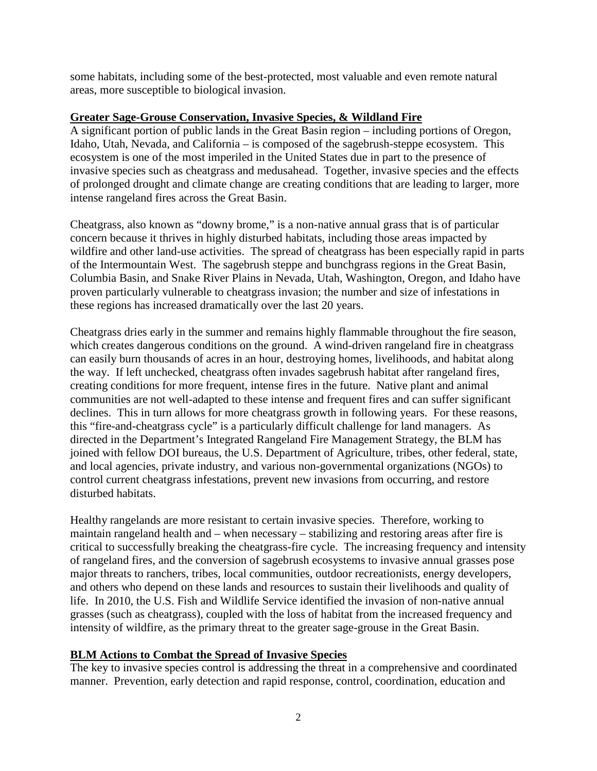some habitats, including some of the best-protected, most valuable and even remote natural areas, more susceptible to biological invasion.

## **Greater Sage-Grouse Conservation, Invasive Species, & Wildland Fire**

A significant portion of public lands in the Great Basin region – including portions of Oregon, Idaho, Utah, Nevada, and California – is composed of the sagebrush-steppe ecosystem. This ecosystem is one of the most imperiled in the United States due in part to the presence of invasive species such as cheatgrass and medusahead. Together, invasive species and the effects of prolonged drought and climate change are creating conditions that are leading to larger, more intense rangeland fires across the Great Basin.

Cheatgrass, also known as "downy brome," is a non-native annual grass that is of particular concern because it thrives in highly disturbed habitats, including those areas impacted by wildfire and other land-use activities. The spread of cheatgrass has been especially rapid in parts of the Intermountain West. The sagebrush steppe and bunchgrass regions in the Great Basin, Columbia Basin, and Snake River Plains in Nevada, Utah, Washington, Oregon, and Idaho have proven particularly vulnerable to cheatgrass invasion; the number and size of infestations in these regions has increased dramatically over the last 20 years.

Cheatgrass dries early in the summer and remains highly flammable throughout the fire season, which creates dangerous conditions on the ground. A wind-driven rangeland fire in cheatgrass can easily burn thousands of acres in an hour, destroying homes, livelihoods, and habitat along the way. If left unchecked, cheatgrass often invades sagebrush habitat after rangeland fires, creating conditions for more frequent, intense fires in the future. Native plant and animal communities are not well-adapted to these intense and frequent fires and can suffer significant declines. This in turn allows for more cheatgrass growth in following years. For these reasons, this "fire-and-cheatgrass cycle" is a particularly difficult challenge for land managers. As directed in the Department's Integrated Rangeland Fire Management Strategy, the BLM has joined with fellow DOI bureaus, the U.S. Department of Agriculture, tribes, other federal, state, and local agencies, private industry, and various non-governmental organizations (NGOs) to control current cheatgrass infestations, prevent new invasions from occurring, and restore disturbed habitats.

Healthy rangelands are more resistant to certain invasive species. Therefore, working to maintain rangeland health and – when necessary – stabilizing and restoring areas after fire is critical to successfully breaking the cheatgrass-fire cycle. The increasing frequency and intensity of rangeland fires, and the conversion of sagebrush ecosystems to invasive annual grasses pose major threats to ranchers, tribes, local communities, outdoor recreationists, energy developers, and others who depend on these lands and resources to sustain their livelihoods and quality of life. In 2010, the U.S. Fish and Wildlife Service identified the invasion of non-native annual grasses (such as cheatgrass), coupled with the loss of habitat from the increased frequency and intensity of wildfire, as the primary threat to the greater sage-grouse in the Great Basin.

## **BLM Actions to Combat the Spread of Invasive Species**

The key to invasive species control is addressing the threat in a comprehensive and coordinated manner. Prevention, early detection and rapid response, control, coordination, education and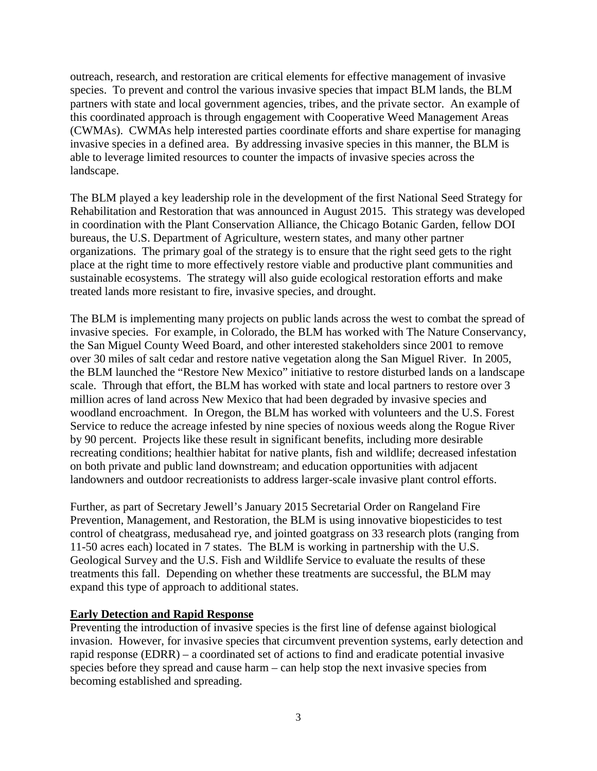outreach, research, and restoration are critical elements for effective management of invasive species. To prevent and control the various invasive species that impact BLM lands, the BLM partners with state and local government agencies, tribes, and the private sector. An example of this coordinated approach is through engagement with Cooperative Weed Management Areas (CWMAs). CWMAs help interested parties coordinate efforts and share expertise for managing invasive species in a defined area. By addressing invasive species in this manner, the BLM is able to leverage limited resources to counter the impacts of invasive species across the landscape.

The BLM played a key leadership role in the development of the first National Seed Strategy for Rehabilitation and Restoration that was announced in August 2015. This strategy was developed in coordination with the Plant Conservation Alliance, the Chicago Botanic Garden, fellow DOI bureaus, the U.S. Department of Agriculture, western states, and many other partner organizations. The primary goal of the strategy is to ensure that the right seed gets to the right place at the right time to more effectively restore viable and productive plant communities and sustainable ecosystems. The strategy will also guide ecological restoration efforts and make treated lands more resistant to fire, invasive species, and drought.

The BLM is implementing many projects on public lands across the west to combat the spread of invasive species. For example, in Colorado, the BLM has worked with The Nature Conservancy, the San Miguel County Weed Board, and other interested stakeholders since 2001 to remove over 30 miles of salt cedar and restore native vegetation along the San Miguel River. In 2005, the BLM launched the "Restore New Mexico" initiative to restore disturbed lands on a landscape scale. Through that effort, the BLM has worked with state and local partners to restore over 3 million acres of land across New Mexico that had been degraded by invasive species and woodland encroachment. In Oregon, the BLM has worked with volunteers and the U.S. Forest Service to reduce the acreage infested by nine species of noxious weeds along the Rogue River by 90 percent. Projects like these result in significant benefits, including more desirable recreating conditions; healthier habitat for native plants, fish and wildlife; decreased infestation on both private and public land downstream; and education opportunities with adjacent landowners and outdoor recreationists to address larger-scale invasive plant control efforts.

Further, as part of Secretary Jewell's January 2015 Secretarial Order on Rangeland Fire Prevention, Management, and Restoration, the BLM is using innovative biopesticides to test control of cheatgrass, medusahead rye, and jointed goatgrass on 33 research plots (ranging from 11-50 acres each) located in 7 states. The BLM is working in partnership with the U.S. Geological Survey and the U.S. Fish and Wildlife Service to evaluate the results of these treatments this fall. Depending on whether these treatments are successful, the BLM may expand this type of approach to additional states.

# **Early Detection and Rapid Response**

Preventing the introduction of invasive species is the first line of defense against biological invasion. However, for invasive species that circumvent prevention systems, early detection and rapid response (EDRR) – a coordinated set of actions to find and eradicate potential invasive species before they spread and cause harm – can help stop the next invasive species from becoming established and spreading.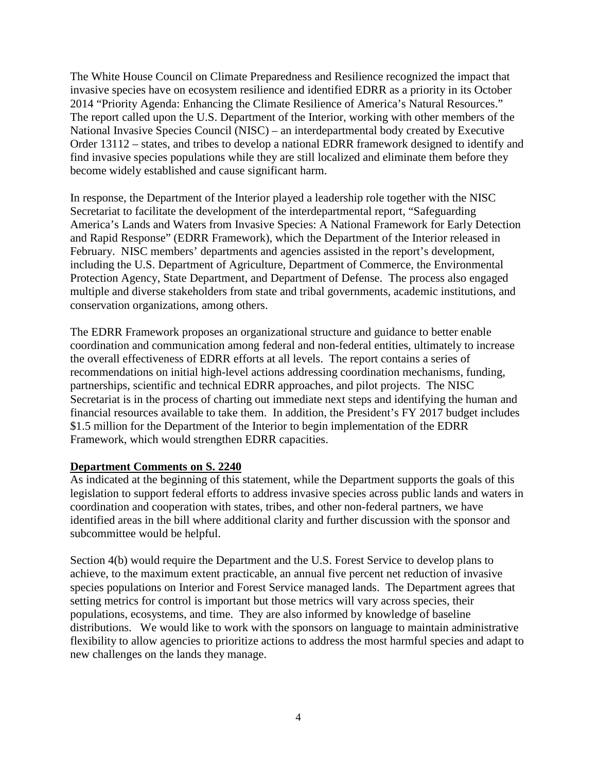The White House Council on Climate Preparedness and Resilience recognized the impact that invasive species have on ecosystem resilience and identified EDRR as a priority in its October 2014 "Priority Agenda: Enhancing the Climate Resilience of America's Natural Resources." The report called upon the U.S. Department of the Interior, working with other members of the National Invasive Species Council (NISC) – an interdepartmental body created by Executive Order 13112 – states, and tribes to develop a national EDRR framework designed to identify and find invasive species populations while they are still localized and eliminate them before they become widely established and cause significant harm.

In response, the Department of the Interior played a leadership role together with the NISC Secretariat to facilitate the development of the interdepartmental report, "Safeguarding America's Lands and Waters from Invasive Species: A National Framework for Early Detection and Rapid Response" (EDRR Framework), which the Department of the Interior released in February. NISC members' departments and agencies assisted in the report's development, including the U.S. Department of Agriculture, Department of Commerce, the Environmental Protection Agency, State Department, and Department of Defense. The process also engaged multiple and diverse stakeholders from state and tribal governments, academic institutions, and conservation organizations, among others.

The EDRR Framework proposes an organizational structure and guidance to better enable coordination and communication among federal and non-federal entities, ultimately to increase the overall effectiveness of EDRR efforts at all levels. The report contains a series of recommendations on initial high-level actions addressing coordination mechanisms, funding, partnerships, scientific and technical EDRR approaches, and pilot projects. The NISC Secretariat is in the process of charting out immediate next steps and identifying the human and financial resources available to take them. In addition, the President's FY 2017 budget includes \$1.5 million for the Department of the Interior to begin implementation of the EDRR Framework, which would strengthen EDRR capacities.

## **Department Comments on S. 2240**

As indicated at the beginning of this statement, while the Department supports the goals of this legislation to support federal efforts to address invasive species across public lands and waters in coordination and cooperation with states, tribes, and other non-federal partners, we have identified areas in the bill where additional clarity and further discussion with the sponsor and subcommittee would be helpful.

Section 4(b) would require the Department and the U.S. Forest Service to develop plans to achieve, to the maximum extent practicable, an annual five percent net reduction of invasive species populations on Interior and Forest Service managed lands. The Department agrees that setting metrics for control is important but those metrics will vary across species, their populations, ecosystems, and time. They are also informed by knowledge of baseline distributions. We would like to work with the sponsors on language to maintain administrative flexibility to allow agencies to prioritize actions to address the most harmful species and adapt to new challenges on the lands they manage.